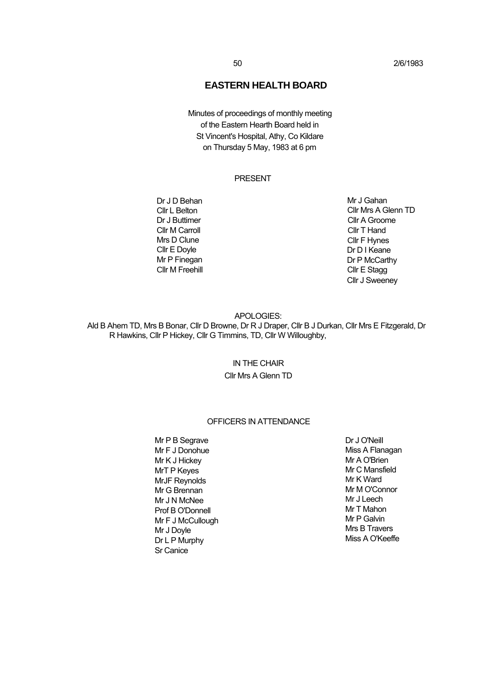# **EASTERN HEALTH BOARD**

Minutes of proceedings of monthly meeting of the Eastern Hearth Board held in St Vincent's Hospital, Athy, Co Kildare on Thursday 5 May, 1983 at 6 pm

## PRESENT

Dr J D Behan Cllr L Belton Dr J Buttimer Cllr M Carroll Mrs D Clune Cllr E Doyle Mr P Finegan Cllr M Freehill Mr J Gahan Cllr Mrs A Glenn TD Cllr A Groome Cllr T Hand Cllr F Hynes Dr D I Keane Dr P McCarthy Cllr E Stagg Cllr J Sweeney

#### APOLOGIES:

Ald B Ahem TD, Mrs B Bonar, Cllr D Browne, Dr R J Draper, Cllr B J Durkan, Cllr Mrs E Fitzgerald, Dr R Hawkins, Cllr P Hickey, Cllr G Timmins, TD, Cllr W Willoughby,

# IN THE CHAIR

# Cllr Mrs A Glenn TD

## OFFICERS IN ATTENDANCE

Mr P B Segrave Mr F J Donohue Mr K J Hickey MrT P Keyes MrJF Reynolds Mr G Brennan Mr J N McNee Prof B O'Donnell Mr F J McCullough Mr J Doyle Dr L P Murphy Sr Canice

Dr J O'Neill Miss A Flanagan Mr A O'Brien Mr C Mansfield Mr K Ward Mr M O'Connor Mr J Leech Mr T Mahon Mr P Galvin Mrs B Travers Miss A O'Keeffe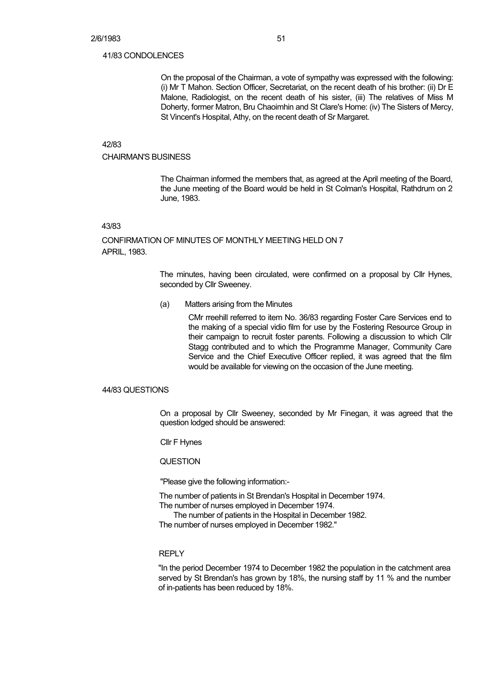#### 41/83 CONDOLENCES

On the proposal of the Chairman, a vote of sympathy was expressed with the following: (i) Mr T Mahon. Section Officer, Secretariat, on the recent death of his brother: (ii) Dr E Malone, Radiologist, on the recent death of his sister, (iii) The relatives of Miss M Doherty, former Matron, Bru Chaoimhin and St Clare's Home: (iv) The Sisters of Mercy, St Vincent's Hospital, Athy, on the recent death of Sr Margaret.

#### 42/83

## CHAIRMAN'S BUSINESS

The Chairman informed the members that, as agreed at the April meeting of the Board, the June meeting of the Board would be held in St Colman's Hospital, Rathdrum on 2 June, 1983.

#### 43/83

## CONFIRMATION OF MINUTES OF MONTHLY MEETING HELD ON 7 APRIL, 1983.

The minutes, having been circulated, were confirmed on a proposal by Cllr Hynes, seconded by Cllr Sweeney.

#### (a) Matters arising from the Minutes

CMr rreehill referred to item No. 36/83 regarding Foster Care Services end to the making of a special vidio film for use by the Fostering Resource Group in their campaign to recruit foster parents. Following a discussion to which Cllr Stagg contributed and to which the Programme Manager, Community Care Service and the Chief Executive Officer replied, it was agreed that the film would be available for viewing on the occasion of the June meeting.

#### 44/83 QUESTIONS

On a proposal by Cllr Sweeney, seconded by Mr Finegan, it was agreed that the question lodged should be answered:

Cllr F Hynes

## **QUESTION**

"Please give the following information:-

The number of patients in St Brendan's Hospital in December 1974.

The number of nurses employed in December 1974.

The number of patients in the Hospital in December 1982.

The number of nurses employed in December 1982."

## REPLY

"In the period December 1974 to December 1982 the population in the catchment area served by St Brendan's has grown by 18%, the nursing staff by 11 % and the number of in-patients has been reduced by 18%.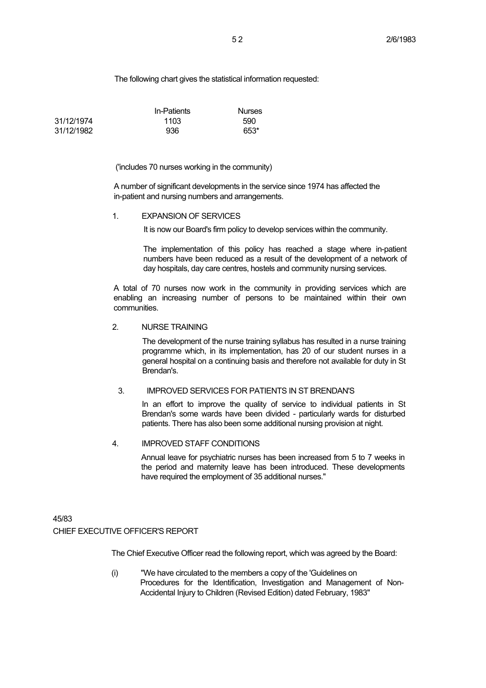The following chart gives the statistical information requested:

|            | In-Patients | <b>Nurses</b> |
|------------|-------------|---------------|
| 31/12/1974 | 1103        | 590           |
| 31/12/1982 | 936         | 653*          |

#### ('includes 70 nurses working in the community)

A number of significant developments in the service since 1974 has affected the in-patient and nursing numbers and arrangements.

#### 1. EXPANSION OF SERVICES

It is now our Board's firm policy to develop services within the community.

The implementation of this policy has reached a stage where in-patient numbers have been reduced as a result of the development of a network of day hospitals, day care centres, hostels and community nursing services.

A total of 70 nurses now work in the community in providing services which are enabling an increasing number of persons to be maintained within their own communities.

#### 2. NURSE TRAINING

The development of the nurse training syllabus has resulted in a nurse training programme which, in its implementation, has 20 of our student nurses in a general hospital on a continuing basis and therefore not available for duty in St Brendan's.

## 3. IMPROVED SERVICES FOR PATIENTS IN ST BRENDAN'S

In an effort to improve the quality of service to individual patients in St Brendan's some wards have been divided - particularly wards for disturbed patients. There has also been some additional nursing provision at night.

#### 4. IMPROVED STAFF CONDITIONS

Annual leave for psychiatric nurses has been increased from 5 to 7 weeks in the period and maternity leave has been introduced. These developments have required the employment of 35 additional nurses."

# 45/83 CHIEF EXECUTIVE OFFICER'S REPORT

The Chief Executive Officer read the following report, which was agreed by the Board:

(i) "We have circulated to the members a copy of the 'Guidelines on Procedures for the Identification, Investigation and Management of Non-Accidental Injury to Children (Revised Edition) dated February, 1983"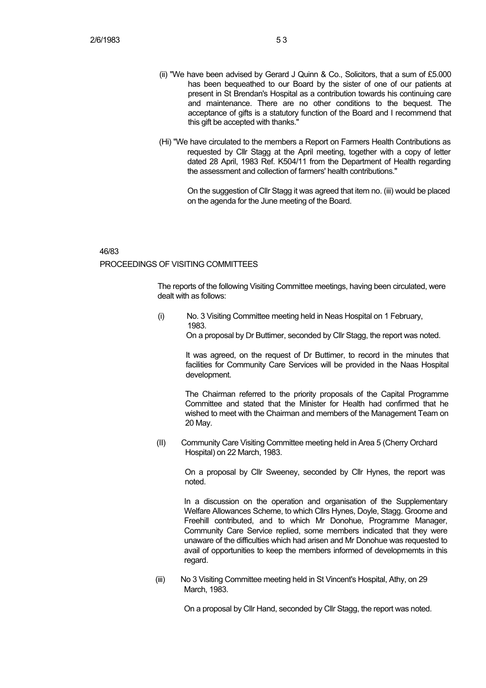- (ii) "We have been advised by Gerard J Quinn & Co., Solicitors, that a sum of £5.000 has been bequeathed to our Board by the sister of one of our patients at present in St Brendan's Hospital as a contribution towards his continuing care and maintenance. There are no other conditions to the bequest. The acceptance of gifts is a statutory function of the Board and I recommend that this gift be accepted with thanks."
- (Hi) "We have circulated to the members a Report on Farmers Health Contributions as requested by Cllr Stagg at the April meeting, together with a copy of letter dated 28 April, 1983 Ref. K504/11 from the Department of Health regarding the assessment and collection of farmers' health contributions."

On the suggestion of Cllr Stagg it was agreed that item no. (iii) would be placed on the agenda for the June meeting of the Board.

## 46/83 PROCEEDINGS OF VISITING COMMITTEES

The reports of the following Visiting Committee meetings, having been circulated, were dealt with as follows:

(i) No. 3 Visiting Committee meeting held in Neas Hospital on 1 February, 1983.

On a proposal by Dr Buttimer, seconded by Cllr Stagg, the report was noted.

It was agreed, on the request of Dr Buttimer, to record in the minutes that facilities for Community Care Services will be provided in the Naas Hospital development.

The Chairman referred to the priority proposals of the Capital Programme Committee and stated that the Minister for Health had confirmed that he wished to meet with the Chairman and members of the Management Team on 20 May.

(II) Community Care Visiting Committee meeting held in Area 5 (Cherry Orchard Hospital) on 22 March, 1983.

> On a proposal by Cllr Sweeney, seconded by Cllr Hynes, the report was noted.

In a discussion on the operation and organisation of the Supplementary Welfare Allowances Scheme, to which Cllrs Hynes, Doyle, Stagg. Groome and Freehill contributed, and to which Mr Donohue, Programme Manager, Community Care Service replied, some members indicated that they were unaware of the difficulties which had arisen and Mr Donohue was requested to avail of opportunities to keep the members informed of developmemts in this regard.

(iii) No 3 Visiting Committee meeting held in St Vincent's Hospital, Athy, on 29 March, 1983.

On a proposal by Cllr Hand, seconded by Cllr Stagg, the report was noted.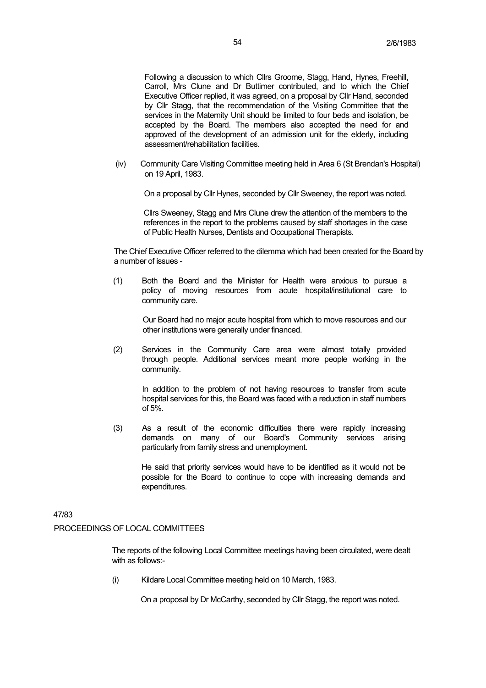Following a discussion to which Cllrs Groome, Stagg, Hand, Hynes, Freehill, Carroll, Mrs Clune and Dr Buttimer contributed, and to which the Chief Executive Officer replied, it was agreed, on a proposal by Cllr Hand, seconded by Cllr Stagg, that the recommendation of the Visiting Committee that the services in the Maternity Unit should be limited to four beds and isolation, be accepted by the Board. The members also accepted the need for and approved of the development of an admission unit for the elderly, including assessment/rehabilitation facilities.

(iv) Community Care Visiting Committee meeting held in Area 6 (St Brendan's Hospital) on 19 April, 1983.

On a proposal by Cllr Hynes, seconded by Cllr Sweeney, the report was noted.

Cllrs Sweeney, Stagg and Mrs Clune drew the attention of the members to the references in the report to the problems caused by staff shortages in the case of Public Health Nurses, Dentists and Occupational Therapists.

The Chief Executive Officer referred to the dilemma which had been created for the Board by a number of issues -

(1) Both the Board and the Minister for Health were anxious to pursue a policy of moving resources from acute hospital/institutional care to community care.

> Our Board had no major acute hospital from which to move resources and our other institutions were generally under financed.

(2) Services in the Community Care area were almost totally provided through people. Additional services meant more people working in the community.

In addition to the problem of not having resources to transfer from acute hospital services for this, the Board was faced with a reduction in staff numbers  $of 5\%$ 

(3) As a result of the economic difficulties there were rapidly increasing demands on many of our Board's Community services arising particularly from family stress and unemployment.

He said that priority services would have to be identified as it would not be possible for the Board to continue to cope with increasing demands and expenditures.

## 47/83

### PROCEEDINGS OF LOCAL COMMITTEES

The reports of the following Local Committee meetings having been circulated, were dealt with as follows:-

(i) Kildare Local Committee meeting held on 10 March, 1983.

On a proposal by Dr McCarthy, seconded by Cllr Stagg, the report was noted.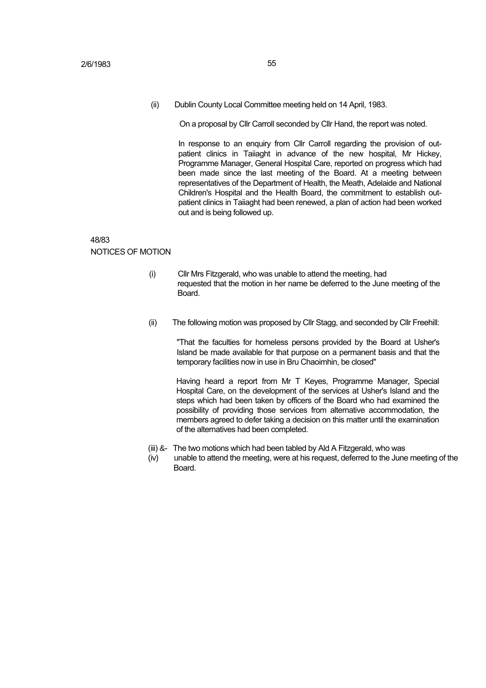(ii) Dublin County Local Committee meeting held on 14 April, 1983.

On a proposal by Cllr Carroll seconded by Cllr Hand, the report was noted.

In response to an enquiry from Cllr Carroll regarding the provision of outpatient clinics in Taijaght in advance of the new hospital. Mr Hickey, Programme Manager, General Hospital Care, reported on progress which had been made since the last meeting of the Board. At a meeting between representatives of the Department of Health, the Meath, Adelaide and National Children's Hospital and the Health Board, the commitment to establish outpatient clinics in Taiiaght had been renewed, a plan of action had been worked out and is being followed up.

#### 48/83

#### NOTICES OF MOTION

- (i) Cllr Mrs Fitzgerald, who was unable to attend the meeting, had requested that the motion in her name be deferred to the June meeting of the Board.
- (ii) The following motion was proposed by Cllr Stagg, and seconded by Cllr Freehill:

"That the faculties for homeless persons provided by the Board at Usher's Island be made available for that purpose on a permanent basis and that the temporary facilities now in use in Bru Chaoimhin, be closed"

Having heard a report from Mr T Keyes, Programme Manager, Special Hospital Care, on the development of the services at Usher's Island and the steps which had been taken by officers of the Board who had examined the possibility of providing those services from alternative accommodation, the members agreed to defer taking a decision on this matter until the examination of the alternatives had been completed.

- (iii) &- The two motions which had been tabled by Ald A Fitzgerald, who was
- (iv) unable to attend the meeting, were at his request, deferred to the June meeting of the Board.